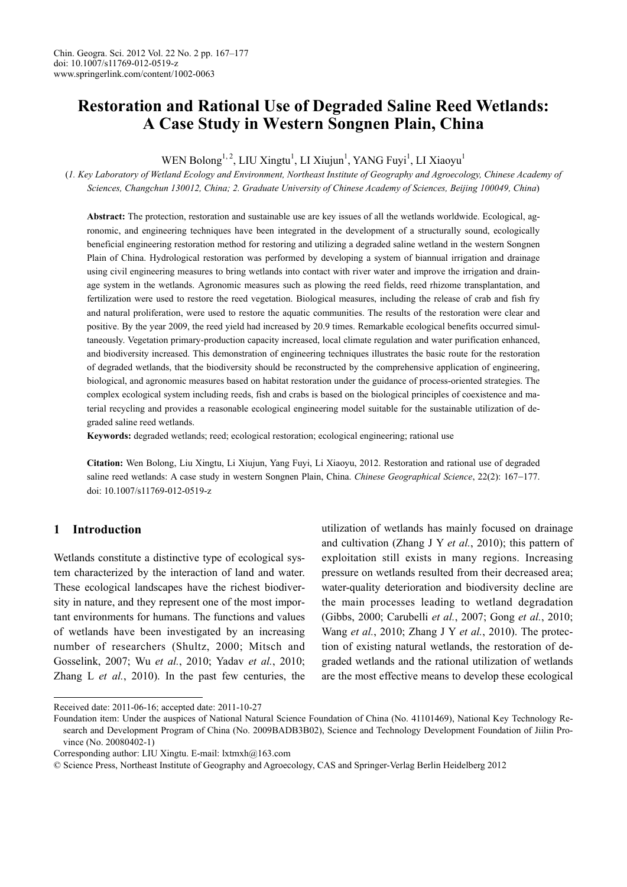# **Restoration and Rational Use of Degraded Saline Reed Wetlands: A Case Study in Western Songnen Plain, China**

WEN Bolong<sup>1, 2</sup>, LIU Xingtu<sup>1</sup>, LI Xiujun<sup>1</sup>, YANG Fuyi<sup>1</sup>, LI Xiaoyu<sup>1</sup>

(*1. Key Laboratory of Wetland Ecology and Environment, Northeast Institute of Geography and Agroecology, Chinese Academy of Sciences, Changchun 130012, China; 2. Graduate University of Chinese Academy of Sciences, Beijing 100049, China*)

**Abstract:** The protection, restoration and sustainable use are key issues of all the wetlands worldwide. Ecological, agronomic, and engineering techniques have been integrated in the development of a structurally sound, ecologically beneficial engineering restoration method for restoring and utilizing a degraded saline wetland in the western Songnen Plain of China. Hydrological restoration was performed by developing a system of biannual irrigation and drainage using civil engineering measures to bring wetlands into contact with river water and improve the irrigation and drainage system in the wetlands. Agronomic measures such as plowing the reed fields, reed rhizome transplantation, and fertilization were used to restore the reed vegetation. Biological measures, including the release of crab and fish fry and natural proliferation, were used to restore the aquatic communities. The results of the restoration were clear and positive. By the year 2009, the reed yield had increased by 20.9 times. Remarkable ecological benefits occurred simultaneously. Vegetation primary-production capacity increased, local climate regulation and water purification enhanced, and biodiversity increased. This demonstration of engineering techniques illustrates the basic route for the restoration of degraded wetlands, that the biodiversity should be reconstructed by the comprehensive application of engineering, biological, and agronomic measures based on habitat restoration under the guidance of process-oriented strategies. The complex ecological system including reeds, fish and crabs is based on the biological principles of coexistence and material recycling and provides a reasonable ecological engineering model suitable for the sustainable utilization of degraded saline reed wetlands.

**Keywords:** degraded wetlands; reed; ecological restoration; ecological engineering; rational use

**Citation:** Wen Bolong, Liu Xingtu, Li Xiujun, Yang Fuyi, Li Xiaoyu, 2012. Restoration and rational use of degraded saline reed wetlands: A case study in western Songnen Plain, China. *Chinese Geographical Science*, 22(2): 167-177. doi: 10.1007/s11769-012-0519-z

# **1 Introduction**

l

Wetlands constitute a distinctive type of ecological system characterized by the interaction of land and water. These ecological landscapes have the richest biodiversity in nature, and they represent one of the most important environments for humans. The functions and values of wetlands have been investigated by an increasing number of researchers (Shultz, 2000; Mitsch and Gosselink, 2007; Wu *et al.*, 2010; Yadav *et al.*, 2010; Zhang L *et al.*, 2010). In the past few centuries, the utilization of wetlands has mainly focused on drainage and cultivation (Zhang J Y *et al.*, 2010); this pattern of exploitation still exists in many regions. Increasing pressure on wetlands resulted from their decreased area; water-quality deterioration and biodiversity decline are the main processes leading to wetland degradation (Gibbs, 2000; Carubelli *et al.*, 2007; Gong *et al.*, 2010; Wang *et al.*, 2010; Zhang J Y *et al.*, 2010). The protection of existing natural wetlands, the restoration of degraded wetlands and the rational utilization of wetlands are the most effective means to develop these ecological

Received date: 2011-06-16; accepted date: 2011-10-27

Foundation item: Under the auspices of National Natural Science Foundation of China (No. 41101469), National Key Technology Research and Development Program of China (No. 2009BADB3B02), Science and Technology Development Foundation of Jiilin Province (No. 20080402-1)

Corresponding author: LIU Xingtu. E-mail: lxtmxh@163.com

<sup>©</sup> Science Press, Northeast Institute of Geography and Agroecology, CAS and Springer-Verlag Berlin Heidelberg 2012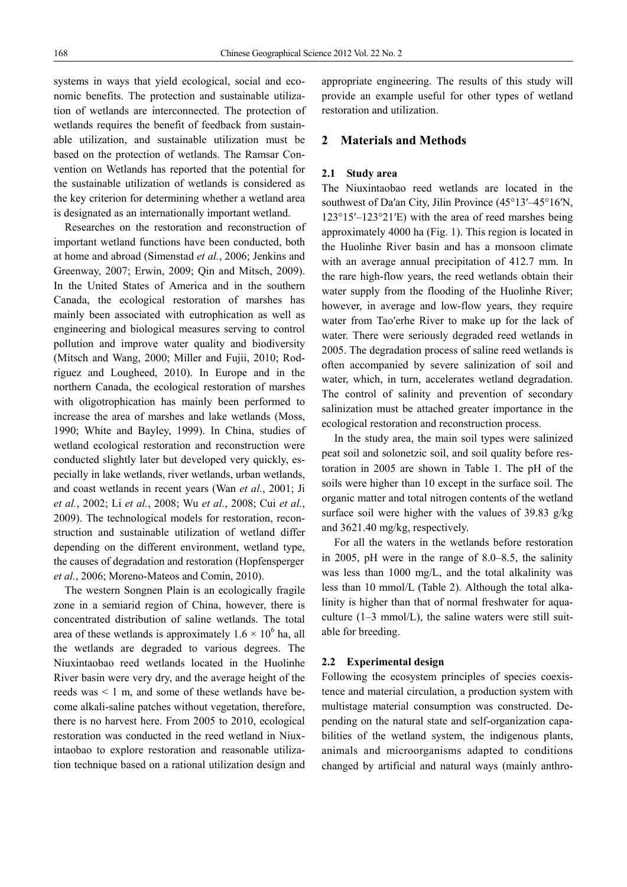systems in ways that yield ecological, social and economic benefits. The protection and sustainable utilization of wetlands are interconnected. The protection of wetlands requires the benefit of feedback from sustainable utilization, and sustainable utilization must be based on the protection of wetlands. The Ramsar Convention on Wetlands has reported that the potential for the sustainable utilization of wetlands is considered as the key criterion for determining whether a wetland area is designated as an internationally important wetland.

Researches on the restoration and reconstruction of important wetland functions have been conducted, both at home and abroad (Simenstad *et al.*, 2006; Jenkins and Greenway, 2007; Erwin, 2009; Qin and Mitsch, 2009). In the United States of America and in the southern Canada, the ecological restoration of marshes has mainly been associated with eutrophication as well as engineering and biological measures serving to control pollution and improve water quality and biodiversity (Mitsch and Wang, 2000; Miller and Fujii, 2010; Rodriguez and Lougheed, 2010). In Europe and in the northern Canada, the ecological restoration of marshes with oligotrophication has mainly been performed to increase the area of marshes and lake wetlands (Moss, 1990; White and Bayley, 1999). In China, studies of wetland ecological restoration and reconstruction were conducted slightly later but developed very quickly, especially in lake wetlands, river wetlands, urban wetlands, and coast wetlands in recent years (Wan *et al.*, 2001; Ji *et al.*, 2002; Li *et al.*, 2008; Wu *et al.*, 2008; Cui *et al.*, 2009). The technological models for restoration, reconstruction and sustainable utilization of wetland differ depending on the different environment, wetland type, the causes of degradation and restoration (Hopfensperger *et al.*, 2006; Moreno-Mateos and Comin, 2010).

The western Songnen Plain is an ecologically fragile zone in a semiarid region of China, however, there is concentrated distribution of saline wetlands. The total area of these wetlands is approximately  $1.6 \times 10^6$  ha, all the wetlands are degraded to various degrees. The Niuxintaobao reed wetlands located in the Huolinhe River basin were very dry, and the average height of the reeds was < 1 m, and some of these wetlands have become alkali-saline patches without vegetation, therefore, there is no harvest here. From 2005 to 2010, ecological restoration was conducted in the reed wetland in Niuxintaobao to explore restoration and reasonable utilization technique based on a rational utilization design and

appropriate engineering. The results of this study will provide an example useful for other types of wetland restoration and utilization.

### **2 Materials and Methods**

### **2.1 Study area**

The Niuxintaobao reed wetlands are located in the southwest of Da′an City, Jilin Province (45°13′–45°16′N, 123°15′–123°21′E) with the area of reed marshes being approximately 4000 ha (Fig. 1). This region is located in the Huolinhe River basin and has a monsoon climate with an average annual precipitation of 412.7 mm. In the rare high-flow years, the reed wetlands obtain their water supply from the flooding of the Huolinhe River; however, in average and low-flow years, they require water from Tao′erhe River to make up for the lack of water. There were seriously degraded reed wetlands in 2005. The degradation process of saline reed wetlands is often accompanied by severe salinization of soil and water, which, in turn, accelerates wetland degradation. The control of salinity and prevention of secondary salinization must be attached greater importance in the ecological restoration and reconstruction process.

In the study area, the main soil types were salinized peat soil and solonetzic soil, and soil quality before restoration in 2005 are shown in Table 1. The pH of the soils were higher than 10 except in the surface soil. The organic matter and total nitrogen contents of the wetland surface soil were higher with the values of 39.83 g/kg and 3621.40 mg/kg, respectively.

For all the waters in the wetlands before restoration in 2005, pH were in the range of 8.0–8.5, the salinity was less than 1000 mg/L, and the total alkalinity was less than 10 mmol/L (Table 2). Although the total alkalinity is higher than that of normal freshwater for aquaculture  $(1-3 \text{ mmol/L})$ , the saline waters were still suitable for breeding.

### **2.2 Experimental design**

Following the ecosystem principles of species coexistence and material circulation, a production system with multistage material consumption was constructed. Depending on the natural state and self-organization capabilities of the wetland system, the indigenous plants, animals and microorganisms adapted to conditions changed by artificial and natural ways (mainly anthro-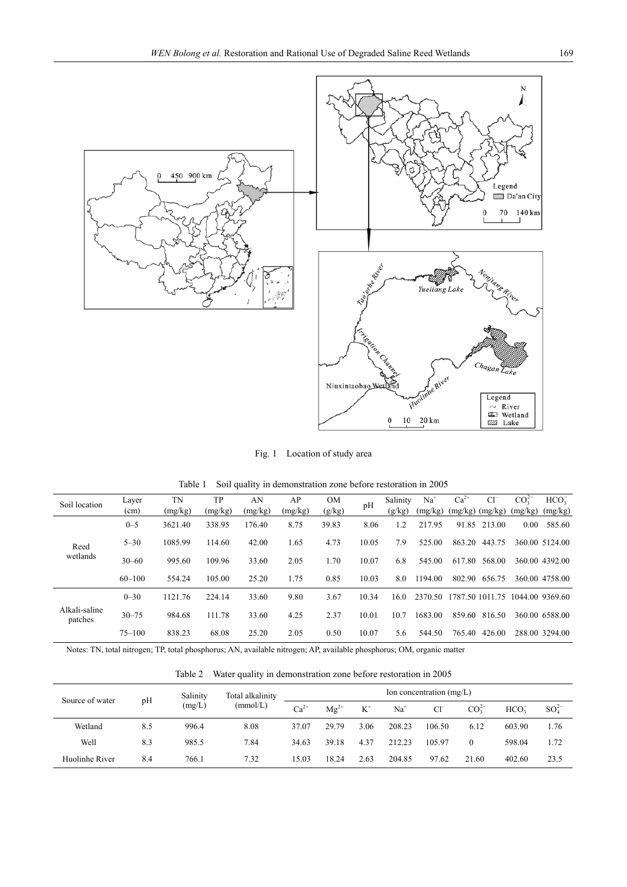

Fig. 1 Location of study area

| Table 1 Soil quality in demonstration zone before restoration in 2005 |  |  |  |
|-----------------------------------------------------------------------|--|--|--|
|                                                                       |  |  |  |

| Soil location            | Layer<br>(cm) | TN<br>(mg/kg) | TP<br>(mg/kg) | AN<br>(mg/kg) | AP<br>(mg/kg) | <b>OM</b><br>(g/kg) | pH    | Salinity<br>(g/kg) | $Na+$<br>(mg/kg) | $Ca^{2+}$ | $Cl^-$<br>$(mg/kg)$ $(mg/kg)$ | CO <sup>2</sup><br>(mg/kg) | HCO <sub>2</sub><br>(mg/kg) |
|--------------------------|---------------|---------------|---------------|---------------|---------------|---------------------|-------|--------------------|------------------|-----------|-------------------------------|----------------------------|-----------------------------|
|                          | $0 - 5$       | 3621.40       | 338.95        | 176.40        | 8.75          | 39.83               | 8.06  | $\overline{2}$     | 217.95           | 91.85     | 213.00                        | 0.00                       | 585.60                      |
| Reed                     | $5 - 30$      | 1085.99       | 114.60        | 42.00         | 1.65          | 4.73                | 10.05 | 7.9                | 525.00           | 863.20    | 443.75                        |                            | 360.00 5124.00              |
| wetlands                 | $30 - 60$     | 995.60        | 109.96        | 33.60         | 2.05          | 1.70                | 10.07 | 6.8                | 545.00           | 617.80    | 568.00                        |                            | 360.00 4392.00              |
|                          | $60 - 100$    | 554.24        | 105.00        | 25.20         | 1.75          | 0.85                | 10.03 | 8.0                | 1194.00          | 802.90    | 656.75                        |                            | 360.00 4758.00              |
|                          | $0 - 30$      | 1121.76       | 224.14        | 33.60         | 9.80          | 3.67                | 10.34 | 16.0               | 2370.50          |           | 1787.50 1011.75               | 1044.00 9369.60            |                             |
| Alkali-saline<br>patches | $30 - 75$     | 984.68        | 111.78        | 33.60         | 4.25          | 2.37                | 10.01 | 10.7               | 1683.00          | 859.60    | 816.50                        |                            | 360.00 6588.00              |
|                          | $75 - 100$    | 838.23        | 68.08         | 25.20         | 2.05          | 0.50                | 10.07 | 5.6                | 544.50           | 765.40    | 426.00                        |                            | 288.00 3294.00              |

Notes: TN, total nitrogen; TP, total phosphorus; AN, available nitrogen; AP, available phosphorus; OM, organic matter

Table 2 Water quality in demonstration zone before restoration in 2005

| Source of water | pH  | Salinity<br>(mg/L) | Total alkalinity<br>(mmol/L) | Ion concentration $(mg/L)$ |           |       |        |        |                              |                  |             |  |
|-----------------|-----|--------------------|------------------------------|----------------------------|-----------|-------|--------|--------|------------------------------|------------------|-------------|--|
|                 |     |                    |                              | $Ca^{2+}$                  | $Mg^{2+}$ | $K^+$ | $Na+$  | $Cl^-$ | CO <sub>2</sub> <sup>2</sup> | HCO <sub>2</sub> | $SO_4^{2-}$ |  |
| Wetland         | 8.5 | 996.4              | 8.08                         | 37.07                      | 29.79     | 3.06  | 208.23 | 106.50 | 6.12                         | 603.90           | 1.76        |  |
| Well            | 8.3 | 985.5              | 7.84                         | 34.63                      | 39.18     | 4.37  | 212.23 | 105.97 | $\theta$                     | 598.04           | 1.72        |  |
| Huolinhe River  | 8.4 | 766.1              | 7.32                         | 15.03                      | 18.24     | 2.63  | 204.85 | 97.62  | 21.60                        | 402.60           | 23.5        |  |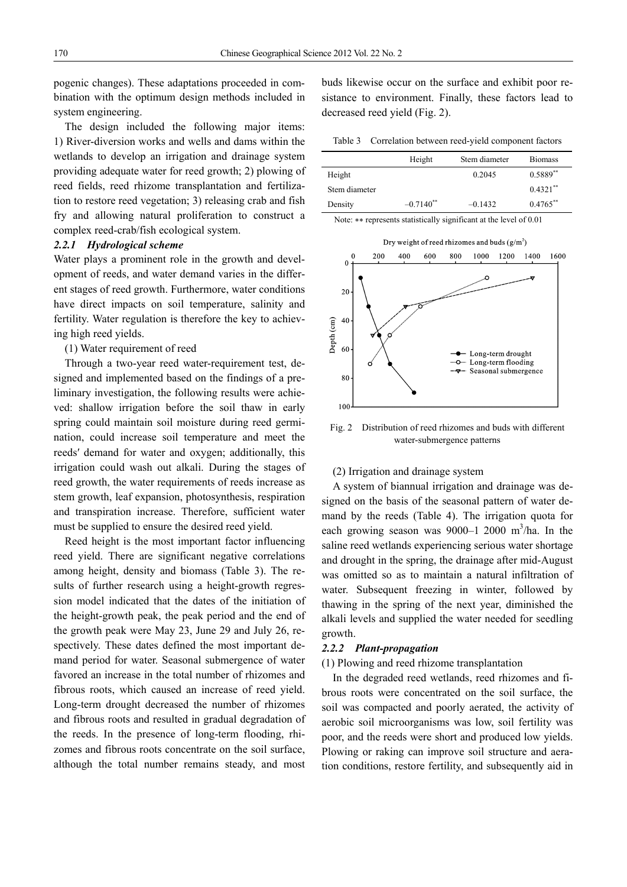pogenic changes). These adaptations proceeded in combination with the optimum design methods included in system engineering.

The design included the following major items: 1) River-diversion works and wells and dams within the wetlands to develop an irrigation and drainage system providing adequate water for reed growth; 2) plowing of reed fields, reed rhizome transplantation and fertilization to restore reed vegetation; 3) releasing crab and fish fry and allowing natural proliferation to construct a complex reed-crab/fish ecological system.

### *2.2.1 Hydrological scheme*

Water plays a prominent role in the growth and development of reeds, and water demand varies in the different stages of reed growth. Furthermore, water conditions have direct impacts on soil temperature, salinity and fertility. Water regulation is therefore the key to achieving high reed yields.

### (1) Water requirement of reed

Through a two-year reed water-requirement test, designed and implemented based on the findings of a preliminary investigation, the following results were achieved: shallow irrigation before the soil thaw in early spring could maintain soil moisture during reed germination, could increase soil temperature and meet the reeds′ demand for water and oxygen; additionally, this irrigation could wash out alkali. During the stages of reed growth, the water requirements of reeds increase as stem growth, leaf expansion, photosynthesis, respiration and transpiration increase. Therefore, sufficient water must be supplied to ensure the desired reed yield.

Reed height is the most important factor influencing reed yield. There are significant negative correlations among height, density and biomass (Table 3). The results of further research using a height-growth regression model indicated that the dates of the initiation of the height-growth peak, the peak period and the end of the growth peak were May 23, June 29 and July 26, respectively. These dates defined the most important demand period for water. Seasonal submergence of water favored an increase in the total number of rhizomes and fibrous roots, which caused an increase of reed yield. Long-term drought decreased the number of rhizomes and fibrous roots and resulted in gradual degradation of the reeds. In the presence of long-term flooding, rhizomes and fibrous roots concentrate on the soil surface, although the total number remains steady, and most

buds likewise occur on the surface and exhibit poor resistance to environment. Finally, these factors lead to decreased reed yield (Fig. 2).

Table 3 Correlation between reed-yield component factors

|               | Height                  | Stem diameter | <b>Biomass</b>         |
|---------------|-------------------------|---------------|------------------------|
| Height        |                         | 0.2045        | $0.5889**$             |
| Stem diameter |                         |               | $0.4321$ <sup>**</sup> |
| Density       | $-0.7140$ <sup>**</sup> | $-0.1432$     | $0.4765$ **            |
|               |                         |               |                        |

Note: \*\* represents statistically significant at the level of 0.01



Fig. 2 Distribution of reed rhizomes and buds with different water-submergence patterns

### (2) Irrigation and drainage system

A system of biannual irrigation and drainage was designed on the basis of the seasonal pattern of water demand by the reeds (Table 4). The irrigation quota for each growing season was  $9000-1$  2000 m<sup>3</sup>/ha. In the saline reed wetlands experiencing serious water shortage and drought in the spring, the drainage after mid-August was omitted so as to maintain a natural infiltration of water. Subsequent freezing in winter, followed by thawing in the spring of the next year, diminished the alkali levels and supplied the water needed for seedling growth.

### *2.2.2 Plant-propagation*

(1) Plowing and reed rhizome transplantation

In the degraded reed wetlands, reed rhizomes and fibrous roots were concentrated on the soil surface, the soil was compacted and poorly aerated, the activity of aerobic soil microorganisms was low, soil fertility was poor, and the reeds were short and produced low yields. Plowing or raking can improve soil structure and aeration conditions, restore fertility, and subsequently aid in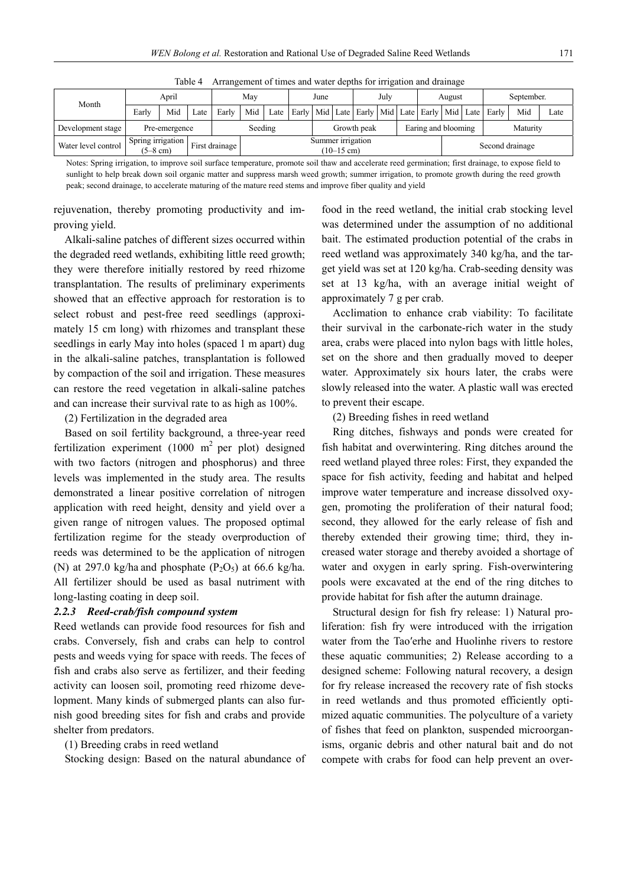| Month               |                                                   | April         |      |         | May |      | June |                                           | July |                                                              | August              |  | September. |          |  |                 |     |      |
|---------------------|---------------------------------------------------|---------------|------|---------|-----|------|------|-------------------------------------------|------|--------------------------------------------------------------|---------------------|--|------------|----------|--|-----------------|-----|------|
|                     | Earlv                                             | Mid           | ∟ate | Early   | Mid | Late |      |                                           |      | Early   Mid   Late   Early   Mid   Late   Early   Mid   Late |                     |  |            |          |  | Early           | Mid | Late |
| Development stage   |                                                   | Pre-emergence |      | Seeding |     |      |      | Growth peak                               |      |                                                              | Earing and blooming |  |            | Maturity |  |                 |     |      |
| Water level control | Spring irrigation<br>First drainage<br>$(5-8$ cm) |               |      |         |     |      |      | Summer irrigation<br>$(10-15 \text{ cm})$ |      |                                                              |                     |  |            |          |  | Second drainage |     |      |

Table 4 Arrangement of times and water depths for irrigation and drainage

Notes: Spring irrigation, to improve soil surface temperature, promote soil thaw and accelerate reed germination; first drainage, to expose field to sunlight to help break down soil organic matter and suppress marsh weed growth; summer irrigation, to promote growth during the reed growth peak; second drainage, to accelerate maturing of the mature reed stems and improve fiber quality and yield

rejuvenation, thereby promoting productivity and improving yield.

Alkali-saline patches of different sizes occurred within the degraded reed wetlands, exhibiting little reed growth; they were therefore initially restored by reed rhizome transplantation. The results of preliminary experiments showed that an effective approach for restoration is to select robust and pest-free reed seedlings (approximately 15 cm long) with rhizomes and transplant these seedlings in early May into holes (spaced 1 m apart) dug in the alkali-saline patches, transplantation is followed by compaction of the soil and irrigation. These measures can restore the reed vegetation in alkali-saline patches and can increase their survival rate to as high as 100%.

(2) Fertilization in the degraded area

Based on soil fertility background, a three-year reed fertilization experiment (1000  $m^2$  per plot) designed with two factors (nitrogen and phosphorus) and three levels was implemented in the study area. The results demonstrated a linear positive correlation of nitrogen application with reed height, density and yield over a given range of nitrogen values. The proposed optimal fertilization regime for the steady overproduction of reeds was determined to be the application of nitrogen (N) at 297.0 kg/ha and phosphate  $(P_2O_5)$  at 66.6 kg/ha. All fertilizer should be used as basal nutriment with long-lasting coating in deep soil.

#### *2.2.3 Reed-crab/fish compound system*

Reed wetlands can provide food resources for fish and crabs. Conversely, fish and crabs can help to control pests and weeds vying for space with reeds. The feces of fish and crabs also serve as fertilizer, and their feeding activity can loosen soil, promoting reed rhizome development. Many kinds of submerged plants can also furnish good breeding sites for fish and crabs and provide shelter from predators.

# (1) Breeding crabs in reed wetland

Stocking design: Based on the natural abundance of

food in the reed wetland, the initial crab stocking level was determined under the assumption of no additional bait. The estimated production potential of the crabs in reed wetland was approximately 340 kg/ha, and the target yield was set at 120 kg/ha. Crab-seeding density was set at 13 kg/ha, with an average initial weight of approximately 7 g per crab.

Acclimation to enhance crab viability: To facilitate their survival in the carbonate-rich water in the study area, crabs were placed into nylon bags with little holes, set on the shore and then gradually moved to deeper water. Approximately six hours later, the crabs were slowly released into the water. A plastic wall was erected to prevent their escape.

(2) Breeding fishes in reed wetland

Ring ditches, fishways and ponds were created for fish habitat and overwintering. Ring ditches around the reed wetland played three roles: First, they expanded the space for fish activity, feeding and habitat and helped improve water temperature and increase dissolved oxygen, promoting the proliferation of their natural food; second, they allowed for the early release of fish and thereby extended their growing time; third, they increased water storage and thereby avoided a shortage of water and oxygen in early spring. Fish-overwintering pools were excavated at the end of the ring ditches to provide habitat for fish after the autumn drainage.

Structural design for fish fry release: 1) Natural proliferation: fish fry were introduced with the irrigation water from the Tao′erhe and Huolinhe rivers to restore these aquatic communities; 2) Release according to a designed scheme: Following natural recovery, a design for fry release increased the recovery rate of fish stocks in reed wetlands and thus promoted efficiently optimized aquatic communities. The polyculture of a variety of fishes that feed on plankton, suspended microorganisms, organic debris and other natural bait and do not compete with crabs for food can help prevent an over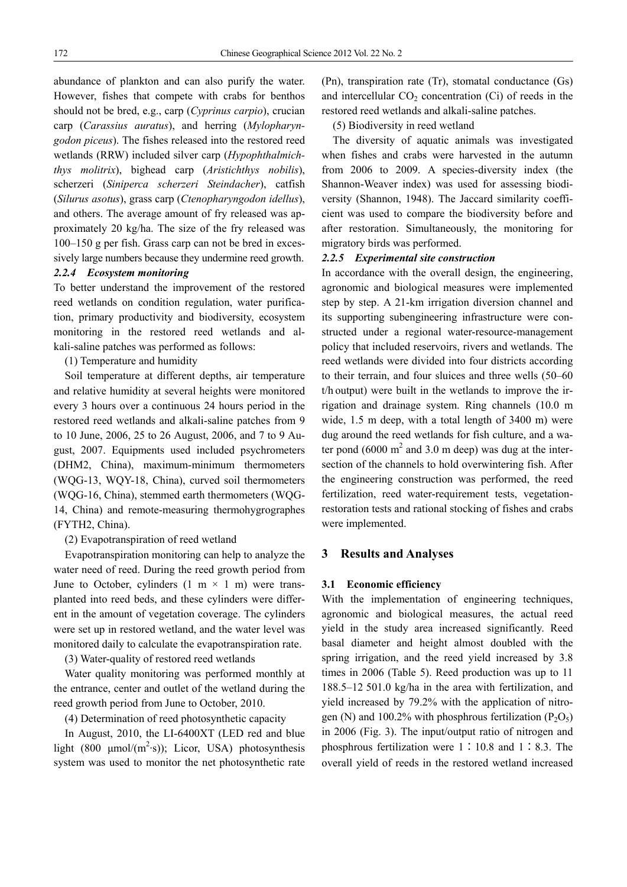abundance of plankton and can also purify the water. However, fishes that compete with crabs for benthos should not be bred, e.g., carp (*Cyprinus carpio*), crucian carp (*Carassius auratus*), and herring (*Mylopharyngodon piceus*). The fishes released into the restored reed wetlands (RRW) included silver carp (*Hypophthalmichthys molitrix*), bighead carp (*Aristichthys nobilis*), scherzeri (*Siniperca scherzeri Steindacher*), catfish (*Silurus asotus*), grass carp (*Ctenopharyngodon idellus*), and others. The average amount of fry released was approximately 20 kg/ha. The size of the fry released was 100–150 g per fish. Grass carp can not be bred in excessively large numbers because they undermine reed growth.

# *2.2.4 Ecosystem monitoring*

To better understand the improvement of the restored reed wetlands on condition regulation, water purification, primary productivity and biodiversity, ecosystem monitoring in the restored reed wetlands and alkali-saline patches was performed as follows:

(1) Temperature and humidity

Soil temperature at different depths, air temperature and relative humidity at several heights were monitored every 3 hours over a continuous 24 hours period in the restored reed wetlands and alkali-saline patches from 9 to 10 June, 2006, 25 to 26 August, 2006, and 7 to 9 August, 2007. Equipments used included psychrometers (DHM2, China), maximum-minimum thermometers (WQG-13, WQY-18, China), curved soil thermometers (WQG-16, China), stemmed earth thermometers (WQG-14, China) and remote-measuring thermohygrographes (FYTH2, China).

(2) Evapotranspiration of reed wetland

Evapotranspiration monitoring can help to analyze the water need of reed. During the reed growth period from June to October, cylinders  $(1 \text{ m} \times 1 \text{ m})$  were transplanted into reed beds, and these cylinders were different in the amount of vegetation coverage. The cylinders were set up in restored wetland, and the water level was monitored daily to calculate the evapotranspiration rate.

(3) Water-quality of restored reed wetlands

Water quality monitoring was performed monthly at the entrance, center and outlet of the wetland during the reed growth period from June to October, 2010.

(4) Determination of reed photosynthetic capacity

In August, 2010, the LI-6400XT (LED red and blue light  $(800 \text{ \mu} \text{mol}/(\text{m}^2 \cdot \text{s}))$ ; Licor, USA) photosynthesis system was used to monitor the net photosynthetic rate

(Pn), transpiration rate (Tr), stomatal conductance (Gs) and intercellular  $CO<sub>2</sub>$  concentration (Ci) of reeds in the restored reed wetlands and alkali-saline patches.

(5) Biodiversity in reed wetland

The diversity of aquatic animals was investigated when fishes and crabs were harvested in the autumn from 2006 to 2009. A species-diversity index (the Shannon-Weaver index) was used for assessing biodiversity (Shannon, 1948). The Jaccard similarity coefficient was used to compare the biodiversity before and after restoration. Simultaneously, the monitoring for migratory birds was performed.

# *2.2.5 Experimental site construction*

In accordance with the overall design, the engineering, agronomic and biological measures were implemented step by step. A 21-km irrigation diversion channel and its supporting subengineering infrastructure were constructed under a regional water-resource-management policy that included reservoirs, rivers and wetlands. The reed wetlands were divided into four districts according to their terrain, and four sluices and three wells (50–60 t/h output) were built in the wetlands to improve the irrigation and drainage system. Ring channels (10.0 m wide, 1.5 m deep, with a total length of 3400 m) were dug around the reed wetlands for fish culture, and a water pond  $(6000 \text{ m}^2 \text{ and } 3.0 \text{ m} \text{ deep})$  was dug at the intersection of the channels to hold overwintering fish. After the engineering construction was performed, the reed fertilization, reed water-requirement tests, vegetationrestoration tests and rational stocking of fishes and crabs were implemented.

# **3 Results and Analyses**

### **3.1 Economic efficiency**

With the implementation of engineering techniques, agronomic and biological measures, the actual reed yield in the study area increased significantly. Reed basal diameter and height almost doubled with the spring irrigation, and the reed yield increased by 3.8 times in 2006 (Table 5). Reed production was up to 11 188.5–12 501.0 kg/ha in the area with fertilization, and yield increased by 79.2% with the application of nitrogen (N) and 100.2% with phosphrous fertilization  $(P_2O_5)$ in 2006 (Fig. 3). The input/output ratio of nitrogen and phosphrous fertilization were 1∶10.8 and 1∶8.3. The overall yield of reeds in the restored wetland increased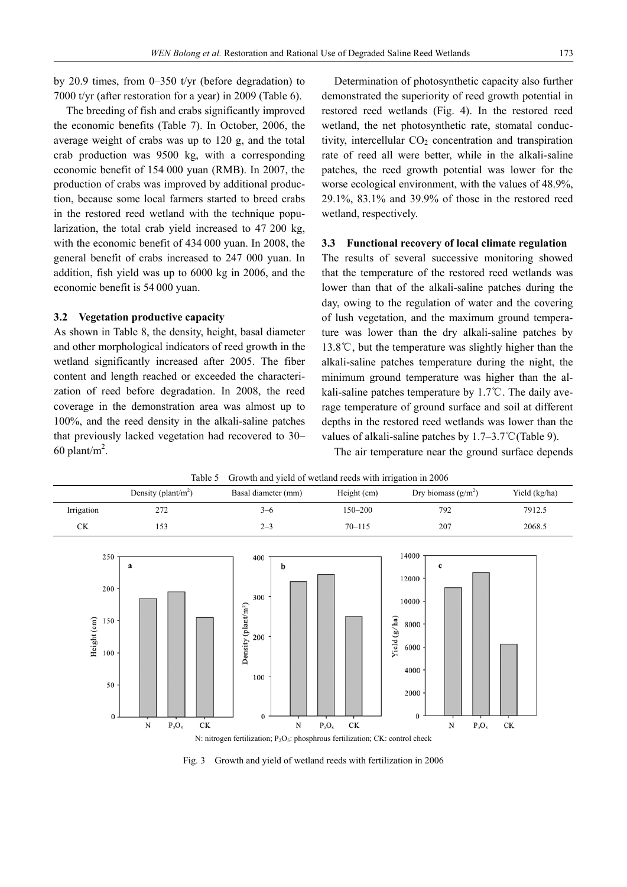by 20.9 times, from 0–350 t/yr (before degradation) to 7000 t/yr (after restoration for a year) in 2009 (Table 6).

The breeding of fish and crabs significantly improved the economic benefits (Table 7). In October, 2006, the average weight of crabs was up to 120 g, and the total crab production was 9500 kg, with a corresponding economic benefit of 154 000 yuan (RMB). In 2007, the production of crabs was improved by additional production, because some local farmers started to breed crabs in the restored reed wetland with the technique popularization, the total crab yield increased to 47 200 kg, with the economic benefit of 434 000 yuan. In 2008, the general benefit of crabs increased to 247 000 yuan. In addition, fish yield was up to 6000 kg in 2006, and the economic benefit is 54 000 yuan.

# **3.2 Vegetation productive capacity**

50

 $\theta$ 

 $\overline{N}$ 

 $P_2O_5$ 

 $CK$ 

As shown in Table 8, the density, height, basal diameter and other morphological indicators of reed growth in the wetland significantly increased after 2005. The fiber content and length reached or exceeded the characterization of reed before degradation. In 2008, the reed coverage in the demonstration area was almost up to 100%, and the reed density in the alkali-saline patches that previously lacked vegetation had recovered to 30– 60 plant/ $m^2$ .

Determination of photosynthetic capacity also further demonstrated the superiority of reed growth potential in restored reed wetlands (Fig. 4). In the restored reed wetland, the net photosynthetic rate, stomatal conductivity, intercellular  $CO<sub>2</sub>$  concentration and transpiration rate of reed all were better, while in the alkali-saline patches, the reed growth potential was lower for the worse ecological environment, with the values of 48.9%, 29.1%, 83.1% and 39.9% of those in the restored reed wetland, respectively.

### **3.3 Functional recovery of local climate regulation**

The results of several successive monitoring showed that the temperature of the restored reed wetlands was lower than that of the alkali-saline patches during the day, owing to the regulation of water and the covering of lush vegetation, and the maximum ground temperature was lower than the dry alkali-saline patches by 13.8℃, but the temperature was slightly higher than the alkali-saline patches temperature during the night, the minimum ground temperature was higher than the alkali-saline patches temperature by 1.7℃. The daily average temperature of ground surface and soil at different depths in the restored reed wetlands was lower than the values of alkali-saline patches by 1.7–3.7℃(Table 9).

The air temperature near the ground surface depends

4000

2000

 $\mathbf{0}$ 

 $\overline{\mathbf{N}}$ 

 $P_2O_5$ 

**CK** 



N: nitrogen fertilization; P<sub>2</sub>O<sub>5</sub>: phosphrous fertilization; CK: control check

 $P.O.$ 

N

**CK** 

100

 $\Omega$ 

Fig. 3 Growth and yield of wetland reeds with fertilization in 2006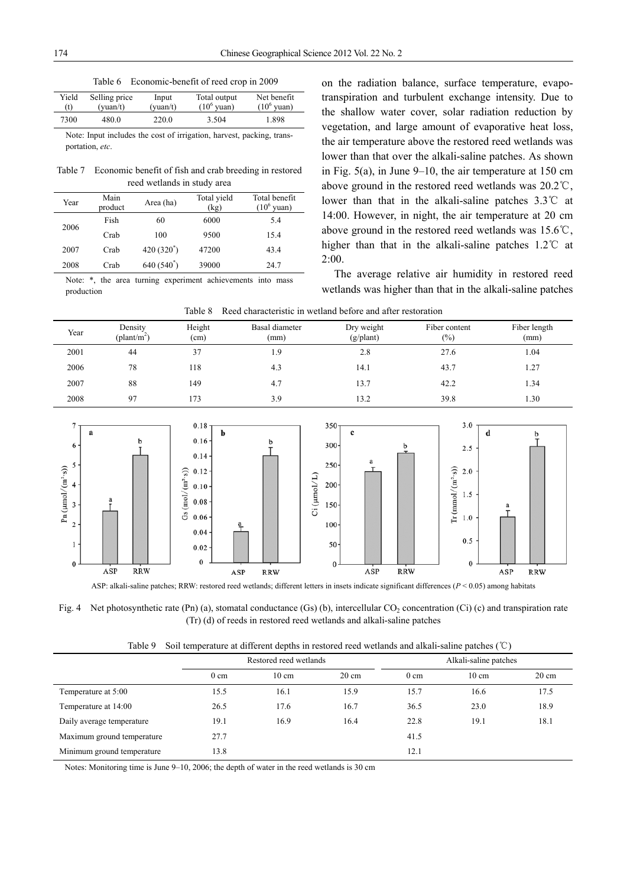Table 6 Economic-benefit of reed crop in 2009

| Yield | Selling price | Input    | Total output          | Net benefit           |
|-------|---------------|----------|-----------------------|-----------------------|
| (t)   | (vuan/t)      | (yuan/t) | $(10^6 \text{ vuan})$ | $(10^6 \text{ vuan})$ |
| 7300  | 480.0         | 220.0    | 3.504                 | 1.898                 |

Note: Input includes the cost of irrigation, harvest, packing, transportation, *etc*.

Table 7 Economic benefit of fish and crab breeding in restored reed wetlands in study area

| Year | Main<br>product | Area (ha)    | Total yield<br>(kg) | Total benefit<br>$(106$ yuan) |
|------|-----------------|--------------|---------------------|-------------------------------|
| 2006 | Fish            | 60           | 6000                | 5.4                           |
|      | Crab            | 100          | 9500                | 15.4                          |
| 2007 | Crab            | $420(320^*)$ | 47200               | 43.4                          |
| 2008 | Crab            | $640(540^*)$ | 39000               | 24.7                          |

Note: \*, the area turning experiment achievements into mass production

on the radiation balance, surface temperature, evapotranspiration and turbulent exchange intensity. Due to the shallow water cover, solar radiation reduction by vegetation, and large amount of evaporative heat loss, the air temperature above the restored reed wetlands was lower than that over the alkali-saline patches. As shown in Fig.  $5(a)$ , in June 9–10, the air temperature at 150 cm above ground in the restored reed wetlands was 20.2℃, lower than that in the alkali-saline patches 3.3℃ at 14:00. However, in night, the air temperature at 20 cm above ground in the restored reed wetlands was 15.6℃, higher than that in the alkali-saline patches 1.2℃ at 2:00.

The average relative air humidity in restored reed wetlands was higher than that in the alkali-saline patches

| Year | Density<br>$(\text{plant/m}^2)$ | Height<br>(cm) | Basal diameter<br>(mm) | Dry weight<br>(g/plant) | Fiber content<br>$(\% )$ | Fiber length<br>(mm) |
|------|---------------------------------|----------------|------------------------|-------------------------|--------------------------|----------------------|
| 2001 | 44                              | 37             | 1.9                    | 2.8                     | 27.6                     | 1.04                 |
| 2006 | 78                              | 118            | 4.3                    | 14.1                    | 43.7                     | 1.27                 |
| 2007 | 88                              | 149            | 4.7                    | 13.7                    | 42.2                     | 1.34                 |
| 2008 | 97                              | 173            | 3.9                    | 13.2                    | 39.8                     | 1.30                 |





ASP: alkali-saline patches; RRW: restored reed wetlands; different letters in insets indicate significant differences (*P* < 0.05) among habitats

Fig. 4 Net photosynthetic rate  $(Ph)$  (a), stomatal conductance  $(Gs)$  (b), intercellular  $CO_2$  concentration  $(Ci)$  (c) and transpiration rate (Tr) (d) of reeds in restored reed wetlands and alkali-saline patches

|  |  | Table 9 Soil temperature at different depths in restored reed wetlands and alkali-saline patches $(\mathcal{C})$ |  |  |
|--|--|------------------------------------------------------------------------------------------------------------------|--|--|
|  |  |                                                                                                                  |  |  |

|                            |                | Restored reed wetlands |                 | Alkali-saline patches |                 |                 |  |  |
|----------------------------|----------------|------------------------|-----------------|-----------------------|-----------------|-----------------|--|--|
|                            | $0 \text{ cm}$ | $10 \text{ cm}$        | $20 \text{ cm}$ | $0 \text{ cm}$        | $10 \text{ cm}$ | $20 \text{ cm}$ |  |  |
| Temperature at 5:00        | 15.5           | 16.1                   | 15.9            | 15.7                  | 16.6            | 17.5            |  |  |
| Temperature at 14:00       | 26.5           | 17.6                   | 16.7            | 36.5                  | 23.0            | 18.9            |  |  |
| Daily average temperature  | 19.1           | 16.9                   | 16.4            | 22.8                  | 19.1            | 18.1            |  |  |
| Maximum ground temperature | 27.7           |                        |                 | 41.5                  |                 |                 |  |  |
| Minimum ground temperature | 13.8           |                        |                 | 12.1                  |                 |                 |  |  |

Notes: Monitoring time is June 9–10, 2006; the depth of water in the reed wetlands is 30 cm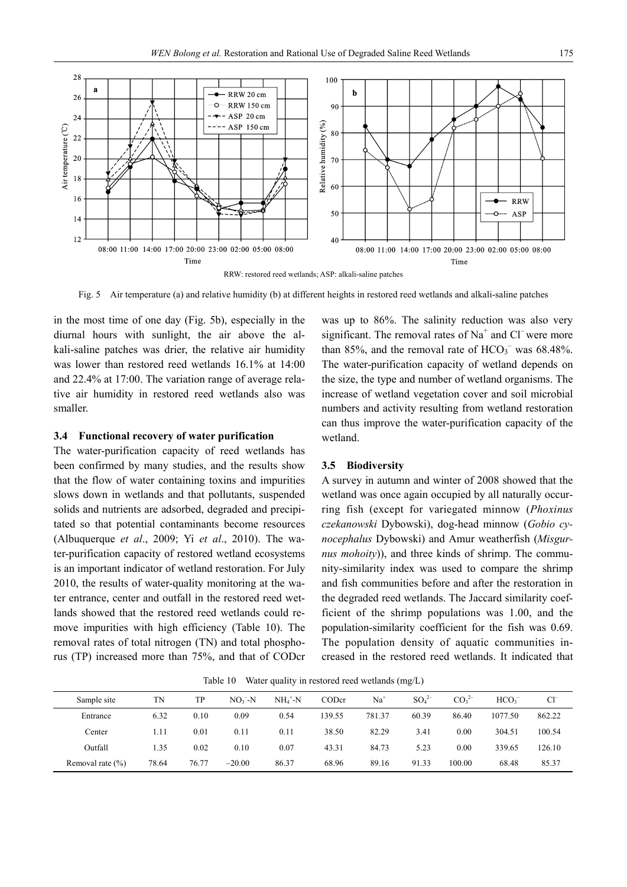

Fig. 5 Air temperature (a) and relative humidity (b) at different heights in restored reed wetlands and alkali-saline patches

in the most time of one day (Fig. 5b), especially in the diurnal hours with sunlight, the air above the alkali-saline patches was drier, the relative air humidity was lower than restored reed wetlands 16.1% at 14:00 and 22.4% at 17:00. The variation range of average relative air humidity in restored reed wetlands also was smaller.

### **3.4 Functional recovery of water purification**

The water-purification capacity of reed wetlands has been confirmed by many studies, and the results show that the flow of water containing toxins and impurities slows down in wetlands and that pollutants, suspended solids and nutrients are adsorbed, degraded and precipitated so that potential contaminants become resources (Albuquerque *et al*., 2009; Yi *et al*., 2010). The water-purification capacity of restored wetland ecosystems is an important indicator of wetland restoration. For July 2010, the results of water-quality monitoring at the water entrance, center and outfall in the restored reed wetlands showed that the restored reed wetlands could remove impurities with high efficiency (Table 10). The removal rates of total nitrogen (TN) and total phosphorus (TP) increased more than 75%, and that of CODcr was up to 86%. The salinity reduction was also very significant. The removal rates of  $Na<sup>+</sup>$  and Cl<sup>–</sup> were more than 85%, and the removal rate of  $HCO_3^-$  was 68.48%. The water-purification capacity of wetland depends on the size, the type and number of wetland organisms. The increase of wetland vegetation cover and soil microbial numbers and activity resulting from wetland restoration can thus improve the water-purification capacity of the wetland.

### **3.5 Biodiversity**

A survey in autumn and winter of 2008 showed that the wetland was once again occupied by all naturally occurring fish (except for variegated minnow (*Phoxinus czekanowski* Dybowski), dog-head minnow (*Gobio cynocephalus* Dybowski) and Amur weatherfish (*Misgurnus mohoity*)), and three kinds of shrimp. The community-similarity index was used to compare the shrimp and fish communities before and after the restoration in the degraded reed wetlands. The Jaccard similarity coefficient of the shrimp populations was 1.00, and the population-similarity coefficient for the fish was 0.69. The population density of aquatic communities increased in the restored reed wetlands. It indicated that

| Sample site          | TN    | TP    | $NO3-N$  | $NH_4$ <sup>+</sup> -N | CODer  | $Na+$  | $SO_4^{2-}$ | CO <sub>3</sub> <sup>2</sup> | HCO <sub>3</sub> | $Cl^-$ |
|----------------------|-------|-------|----------|------------------------|--------|--------|-------------|------------------------------|------------------|--------|
| Entrance             | 6.32  | 0.10  | 0.09     | 0.54                   | 139.55 | 781.37 | 60.39       | 86.40                        | 1077.50          | 862.22 |
| Center               | 1.11  | 0.01  | 0.11     | 0.11                   | 38.50  | 82.29  | 3.41        | 0.00                         | 304.51           | 100.54 |
| Outfall              | l.35  | 0.02  | 0.10     | 0.07                   | 43.31  | 84.73  | 5.23        | 0.00                         | 339.65           | 126.10 |
| Removal rate $(\% )$ | 78.64 | 76.77 | $-20.00$ | 86.37                  | 68.96  | 89.16  | 91.33       | 100.00                       | 68.48            | 85.37  |

Table 10 Water quality in restored reed wetlands (mg/L)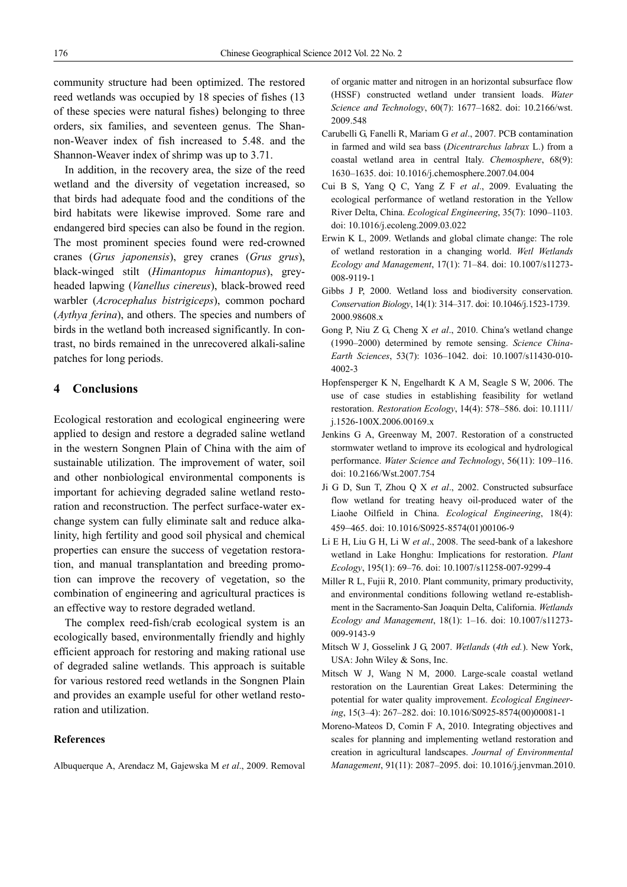community structure had been optimized. The restored reed wetlands was occupied by 18 species of fishes (13 of these species were natural fishes) belonging to three orders, six families, and seventeen genus. The Shannon-Weaver index of fish increased to 5.48. and the Shannon-Weaver index of shrimp was up to 3.71.

In addition, in the recovery area, the size of the reed wetland and the diversity of vegetation increased, so that birds had adequate food and the conditions of the bird habitats were likewise improved. Some rare and endangered bird species can also be found in the region. The most prominent species found were red-crowned cranes (*Grus japonensis*), grey cranes (*Grus grus*), black-winged stilt (*Himantopus himantopus*), greyheaded lapwing (*Vanellus cinereus*), black-browed reed warbler (*Acrocephalus bistrigiceps*), common pochard (*Aythya ferina*), and others. The species and numbers of birds in the wetland both increased significantly. In contrast, no birds remained in the unrecovered alkali-saline patches for long periods.

### **4 Conclusions**

Ecological restoration and ecological engineering were applied to design and restore a degraded saline wetland in the western Songnen Plain of China with the aim of sustainable utilization. The improvement of water, soil and other nonbiological environmental components is important for achieving degraded saline wetland restoration and reconstruction. The perfect surface-water exchange system can fully eliminate salt and reduce alkalinity, high fertility and good soil physical and chemical properties can ensure the success of vegetation restoration, and manual transplantation and breeding promotion can improve the recovery of vegetation, so the combination of engineering and agricultural practices is an effective way to restore degraded wetland.

The complex reed-fish/crab ecological system is an ecologically based, environmentally friendly and highly efficient approach for restoring and making rational use of degraded saline wetlands. This approach is suitable for various restored reed wetlands in the Songnen Plain and provides an example useful for other wetland restoration and utilization.

### **References**

Albuquerque A, Arendacz M, Gajewska M *et al*., 2009. Removal

of organic matter and nitrogen in an horizontal subsurface flow (HSSF) constructed wetland under transient loads. *Water Science and Technology*, 60(7): 1677–1682. doi: 10.2166/wst. 2009.548

- Carubelli G, Fanelli R, Mariam G *et al*., 2007. PCB contamination in farmed and wild sea bass (*Dicentrarchus labrax* L.) from a coastal wetland area in central Italy. *Chemosphere*, 68(9): 1630–1635. doi: 10.1016/j.chemosphere.2007.04.004
- Cui B S, Yang Q C, Yang Z F *et al*., 2009. Evaluating the ecological performance of wetland restoration in the Yellow River Delta, China. *Ecological Engineering*, 35(7): 1090–1103. doi: 10.1016/j.ecoleng.2009.03.022
- Erwin K L, 2009. Wetlands and global climate change: The role of wetland restoration in a changing world. *Wetl Wetlands Ecology and Management*, 17(1): 71–84. doi: 10.1007/s11273- 008-9119-1
- Gibbs J P, 2000. Wetland loss and biodiversity conservation. *Conservation Biology*, 14(1): 314–317. doi: 10.1046/j.1523-1739. 2000.98608.x
- Gong P, Niu Z G, Cheng X *et al*., 2010. China′s wetland change (1990–2000) determined by remote sensing. *Science China-Earth Sciences*, 53(7): 1036–1042. doi: 10.1007/s11430-010- 4002-3
- Hopfensperger K N, Engelhardt K A M, Seagle S W, 2006. The use of case studies in establishing feasibility for wetland restoration. *Restoration Ecology*, 14(4): 578–586. doi: 10.1111/ j.1526-100X.2006.00169.x
- Jenkins G A, Greenway M, 2007. Restoration of a constructed stormwater wetland to improve its ecological and hydrological performance. *Water Science and Technology*, 56(11): 109–116. doi: 10.2166/Wst.2007.754
- Ji G D, Sun T, Zhou Q X *et al*., 2002. Constructed subsurface flow wetland for treating heavy oil-produced water of the Liaohe Oilfield in China. *Ecological Engineering*, 18(4): 459–465. doi: 10.1016/S0925-8574(01)00106-9
- Li E H, Liu G H, Li W *et al*., 2008. The seed-bank of a lakeshore wetland in Lake Honghu: Implications for restoration. *Plant Ecology*, 195(1): 69–76. doi: 10.1007/s11258-007-9299-4
- Miller R L, Fujii R, 2010. Plant community, primary productivity, and environmental conditions following wetland re-establishment in the Sacramento-San Joaquin Delta, California. *Wetlands Ecology and Management*, 18(1): 1–16. doi: 10.1007/s11273- 009-9143-9
- Mitsch W J, Gosselink J G, 2007. *Wetlands* (*4th ed.*). New York, USA: John Wiley & Sons, Inc.
- Mitsch W J, Wang N M, 2000. Large-scale coastal wetland restoration on the Laurentian Great Lakes: Determining the potential for water quality improvement. *Ecological Engineering*, 15(3–4): 267–282. doi: 10.1016/S0925-8574(00)00081-1
- Moreno-Mateos D, Comin F A, 2010. Integrating objectives and scales for planning and implementing wetland restoration and creation in agricultural landscapes. *Journal of Environmental Management*, 91(11): 2087–2095. doi: 10.1016/j.jenvman.2010.